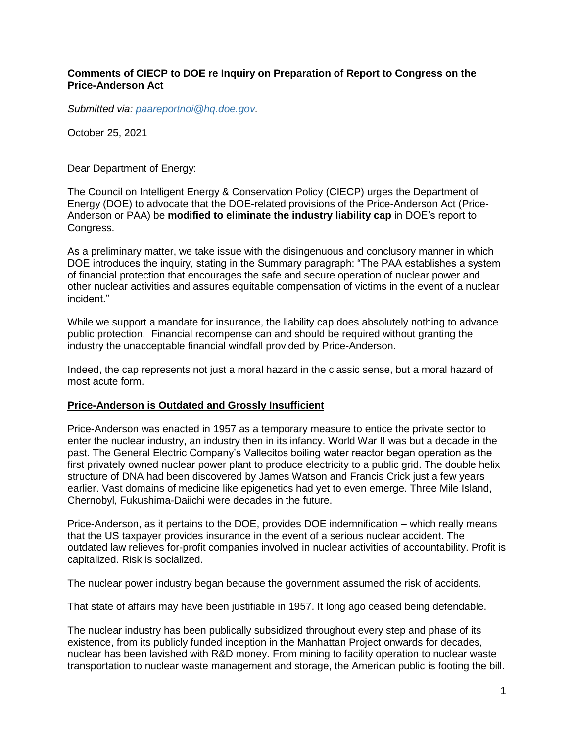#### **Comments of CIECP to DOE re Inquiry on Preparation of Report to Congress on the Price-Anderson Act**

*Submitted via: [paareportnoi@hq.doe.gov.](mailto:paareportnoi@hq.doe.gov)*

October 25, 2021

Dear Department of Energy:

The Council on Intelligent Energy & Conservation Policy (CIECP) urges the Department of Energy (DOE) to advocate that the DOE-related provisions of the Price-Anderson Act (Price-Anderson or PAA) be **modified to eliminate the industry liability cap** in DOE's report to Congress.

As a preliminary matter, we take issue with the disingenuous and conclusory manner in which DOE introduces the inquiry, stating in the Summary paragraph: "The PAA establishes a system of financial protection that encourages the safe and secure operation of nuclear power and other nuclear activities and assures equitable compensation of victims in the event of a nuclear incident."

While we support a mandate for insurance, the liability cap does absolutely nothing to advance public protection. Financial recompense can and should be required without granting the industry the unacceptable financial windfall provided by Price-Anderson.

Indeed, the cap represents not just a moral hazard in the classic sense, but a moral hazard of most acute form.

#### **Price-Anderson is Outdated and Grossly Insufficient**

Price-Anderson was enacted in 1957 as a temporary measure to entice the private sector to enter the nuclear industry, an industry then in its infancy. World War II was but a decade in the past. The General Electric Company's Vallecitos boiling water reactor began operation as the first privately owned nuclear power plant to produce electricity to a public grid. The double helix structure of DNA had been discovered by James Watson and Francis Crick just a few years earlier. Vast domains of medicine like epigenetics had yet to even emerge. Three Mile Island, Chernobyl, Fukushima-Daiichi were decades in the future.

Price-Anderson, as it pertains to the DOE, provides DOE indemnification – which really means that the US taxpayer provides insurance in the event of a serious nuclear accident. The outdated law relieves for-profit companies involved in nuclear activities of accountability. Profit is capitalized. Risk is socialized.

The nuclear power industry began because the government assumed the risk of accidents.

That state of affairs may have been justifiable in 1957. It long ago ceased being defendable.

The nuclear industry has been publically subsidized throughout every step and phase of its existence, from its publicly funded inception in the Manhattan Project onwards for decades, nuclear has been lavished with R&D money. From mining to facility operation to nuclear waste transportation to nuclear waste management and storage, the American public is footing the bill.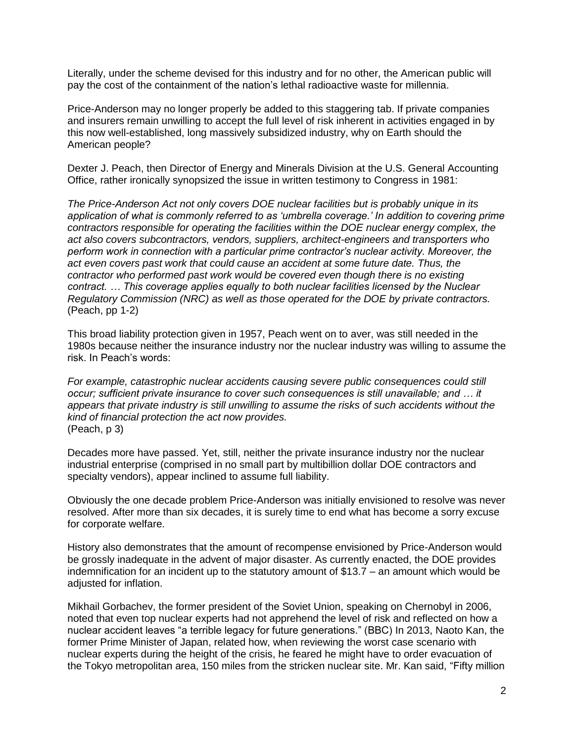Literally, under the scheme devised for this industry and for no other, the American public will pay the cost of the containment of the nation's lethal radioactive waste for millennia.

Price-Anderson may no longer properly be added to this staggering tab. If private companies and insurers remain unwilling to accept the full level of risk inherent in activities engaged in by this now well-established, long massively subsidized industry, why on Earth should the American people?

Dexter J. Peach, then Director of Energy and Minerals Division at the U.S. General Accounting Office, rather ironically synopsized the issue in written testimony to Congress in 1981:

*The Price-Anderson Act not only covers DOE nuclear facilities but is probably unique in its application of what is commonly referred to as 'umbrella coverage.' In addition to covering prime contractors responsible for operating the facilities within the DOE nuclear energy complex, the act also covers subcontractors, vendors, suppliers, architect-engineers and transporters who perform work in connection with a particular prime contractor's nuclear activity. Moreover, the act even covers past work that could cause an accident at some future date. Thus, the contractor who performed past work would be covered even though there is no existing contract. … This coverage applies equally to both nuclear facilities licensed by the Nuclear Regulatory Commission (NRC) as well as those operated for the DOE by private contractors.* (Peach, pp 1-2)

This broad liability protection given in 1957, Peach went on to aver, was still needed in the 1980s because neither the insurance industry nor the nuclear industry was willing to assume the risk. In Peach's words:

*For example, catastrophic nuclear accidents causing severe public consequences could still occur; sufficient private insurance to cover such consequences is still unavailable; and … it appears that private industry is still unwilling to assume the risks of such accidents without the kind of financial protection the act now provides.* (Peach, p 3)

Decades more have passed. Yet, still, neither the private insurance industry nor the nuclear industrial enterprise (comprised in no small part by multibillion dollar DOE contractors and specialty vendors), appear inclined to assume full liability.

Obviously the one decade problem Price-Anderson was initially envisioned to resolve was never resolved. After more than six decades, it is surely time to end what has become a sorry excuse for corporate welfare.

History also demonstrates that the amount of recompense envisioned by Price-Anderson would be grossly inadequate in the advent of major disaster. As currently enacted, the DOE provides indemnification for an incident up to the statutory amount of \$13.7 – an amount which would be adjusted for inflation.

Mikhail Gorbachev, the former president of the Soviet Union, speaking on Chernobyl in 2006, noted that even top nuclear experts had not apprehend the level of risk and reflected on how a nuclear accident leaves "a terrible legacy for future generations." (BBC) In 2013, Naoto Kan, the former Prime Minister of Japan, related how, when reviewing the worst case scenario with nuclear experts during the height of the crisis, he feared he might have to order evacuation of the Tokyo metropolitan area, 150 miles from the stricken nuclear site. Mr. Kan said, "Fifty million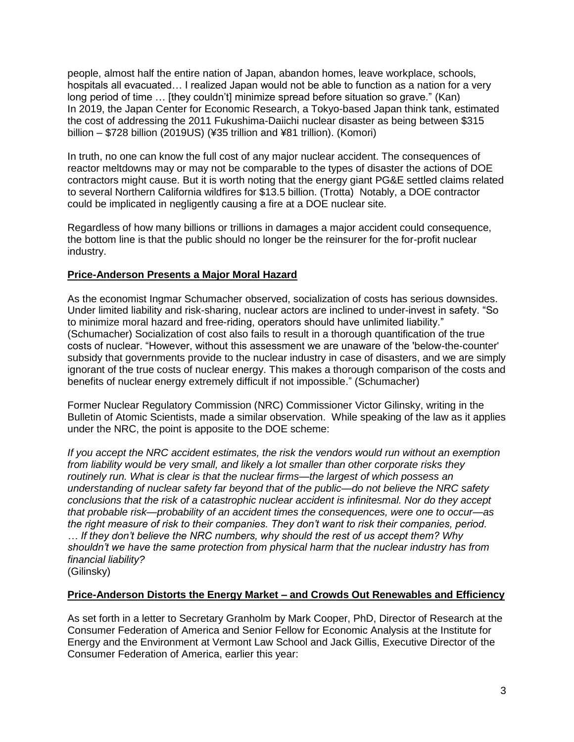people, almost half the entire nation of Japan, abandon homes, leave workplace, schools, hospitals all evacuated… I realized Japan would not be able to function as a nation for a very long period of time … [they couldn't] minimize spread before situation so grave." (Kan) In 2019, the Japan Center for Economic Research, a Tokyo-based Japan think tank, estimated the cost of addressing the 2011 Fukushima-Daiichi nuclear disaster as being between \$315 billion – \$728 billion (2019US) (¥35 trillion and ¥81 trillion). (Komori)

In truth, no one can know the full cost of any major nuclear accident. The consequences of reactor meltdowns may or may not be comparable to the types of disaster the actions of DOE contractors might cause. But it is worth noting that the energy giant PG&E settled claims related to several Northern California wildfires for \$13.5 billion. (Trotta) Notably, a DOE contractor could be implicated in negligently causing a fire at a DOE nuclear site.

Regardless of how many billions or trillions in damages a major accident could consequence, the bottom line is that the public should no longer be the reinsurer for the for-profit nuclear industry.

# **Price-Anderson Presents a Major Moral Hazard**

As the economist Ingmar Schumacher observed, socialization of costs has serious downsides. Under limited liability and risk-sharing, nuclear actors are inclined to under-invest in safety. "So to minimize moral hazard and free-riding, operators should have unlimited liability." (Schumacher) Socialization of cost also fails to result in a thorough quantification of the true costs of nuclear. "However, without this assessment we are unaware of the 'below-the-counter' subsidy that governments provide to the nuclear industry in case of disasters, and we are simply ignorant of the true costs of nuclear energy. This makes a thorough comparison of the costs and benefits of nuclear energy extremely difficult if not impossible." (Schumacher)

Former Nuclear Regulatory Commission (NRC) Commissioner Victor Gilinsky, writing in the Bulletin of Atomic Scientists, made a similar observation. While speaking of the law as it applies under the NRC, the point is apposite to the DOE scheme:

*If you accept the NRC accident estimates, the risk the vendors would run without an exemption from liability would be very small, and likely a lot smaller than other corporate risks they routinely run. What is clear is that the nuclear firms—the largest of which possess an understanding of nuclear safety far beyond that of the public—do not believe the NRC safety conclusions that the risk of a catastrophic nuclear accident is infinitesmal. Nor do they accept that probable risk—probability of an accident times the consequences, were one to occur—as the right measure of risk to their companies. They don't want to risk their companies, period. … If they don't believe the NRC numbers, why should the rest of us accept them? Why shouldn't we have the same protection from physical harm that the nuclear industry has from financial liability?* (Gilinsky)

## **Price-Anderson Distorts the Energy Market – and Crowds Out Renewables and Efficiency**

As set forth in a letter to Secretary Granholm by Mark Cooper, PhD, Director of Research at the Consumer Federation of America and Senior Fellow for Economic Analysis at the Institute for Energy and the Environment at Vermont Law School and Jack Gillis, Executive Director of the Consumer Federation of America, earlier this year: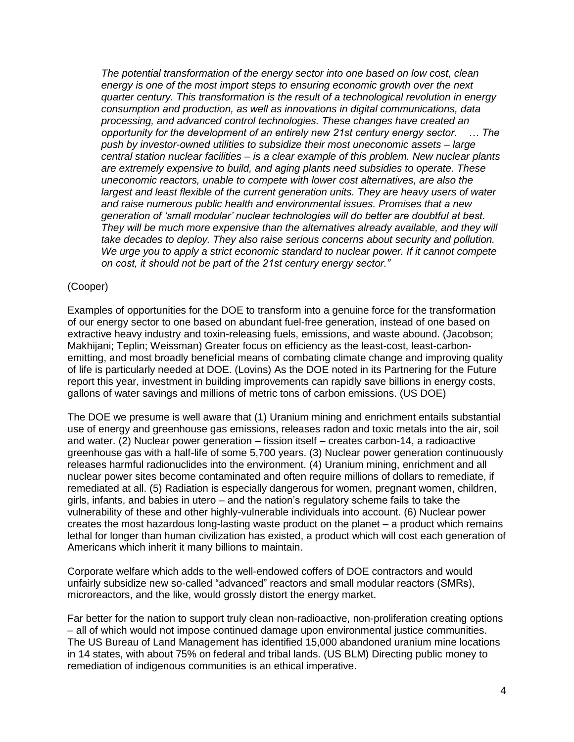*The potential transformation of the energy sector into one based on low cost, clean energy is one of the most import steps to ensuring economic growth over the next quarter century. This transformation is the result of a technological revolution in energy consumption and production, as well as innovations in digital communications, data processing, and advanced control technologies. These changes have created an opportunity for the development of an entirely new 21st century energy sector. … The push by investor-owned utilities to subsidize their most uneconomic assets – large central station nuclear facilities – is a clear example of this problem. New nuclear plants are extremely expensive to build, and aging plants need subsidies to operate. These uneconomic reactors, unable to compete with lower cost alternatives, are also the largest and least flexible of the current generation units. They are heavy users of water and raise numerous public health and environmental issues. Promises that a new generation of 'small modular' nuclear technologies will do better are doubtful at best.*  They will be much more expensive than the alternatives already available, and they will *take decades to deploy. They also raise serious concerns about security and pollution. We urge you to apply a strict economic standard to nuclear power. If it cannot compete on cost, it should not be part of the 21st century energy sector."*

#### (Cooper)

Examples of opportunities for the DOE to transform into a genuine force for the transformation of our energy sector to one based on abundant fuel-free generation, instead of one based on extractive heavy industry and toxin-releasing fuels, emissions, and waste abound. (Jacobson; Makhijani; Teplin; Weissman) Greater focus on efficiency as the least-cost, least-carbonemitting, and most broadly beneficial means of combating climate change and improving quality of life is particularly needed at DOE. (Lovins) As the DOE noted in its Partnering for the Future report this year, investment in building improvements can rapidly save billions in energy costs, gallons of water savings and millions of metric tons of carbon emissions. (US DOE)

The DOE we presume is well aware that (1) Uranium mining and enrichment entails substantial use of energy and greenhouse gas emissions, releases radon and toxic metals into the air, soil and water. (2) Nuclear power generation – fission itself – creates carbon-14, a radioactive greenhouse gas with a half-life of some 5,700 years. (3) Nuclear power generation continuously releases harmful radionuclides into the environment. (4) Uranium mining, enrichment and all nuclear power sites become contaminated and often require millions of dollars to remediate, if remediated at all. (5) Radiation is especially dangerous for women, pregnant women, children, girls, infants, and babies in utero – and the nation's regulatory scheme fails to take the vulnerability of these and other highly-vulnerable individuals into account. (6) Nuclear power creates the most hazardous long-lasting waste product on the planet – a product which remains lethal for longer than human civilization has existed, a product which will cost each generation of Americans which inherit it many billions to maintain.

Corporate welfare which adds to the well-endowed coffers of DOE contractors and would unfairly subsidize new so-called "advanced" reactors and small modular reactors (SMRs), microreactors, and the like, would grossly distort the energy market.

Far better for the nation to support truly clean non-radioactive, non-proliferation creating options – all of which would not impose continued damage upon environmental justice communities. The US Bureau of Land Management has identified 15,000 abandoned uranium mine locations in 14 states, with about 75% on federal and tribal lands. (US BLM) Directing public money to remediation of indigenous communities is an ethical imperative.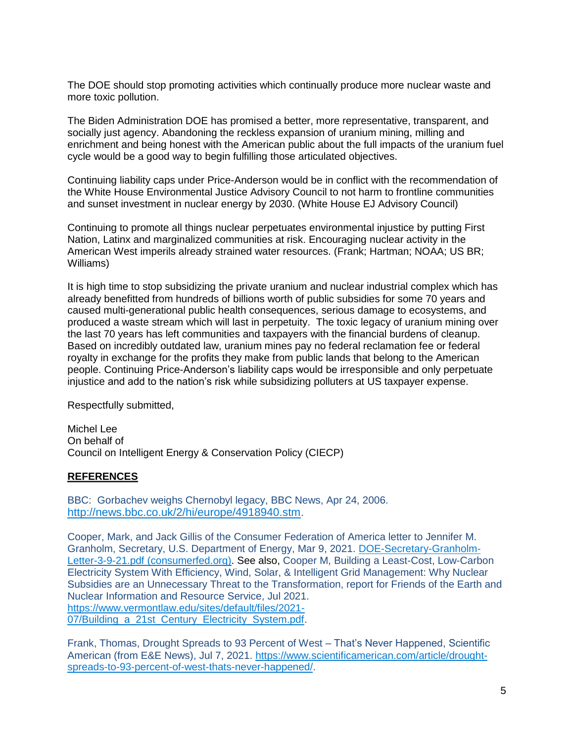The DOE should stop promoting activities which continually produce more nuclear waste and more toxic pollution.

The Biden Administration DOE has promised a better, more representative, transparent, and socially just agency. Abandoning the reckless expansion of uranium mining, milling and enrichment and being honest with the American public about the full impacts of the uranium fuel cycle would be a good way to begin fulfilling those articulated objectives.

Continuing liability caps under Price-Anderson would be in conflict with the recommendation of the White House Environmental Justice Advisory Council to not harm to frontline communities and sunset investment in nuclear energy by 2030. (White House EJ Advisory Council)

Continuing to promote all things nuclear perpetuates environmental injustice by putting First Nation, Latinx and marginalized communities at risk. Encouraging nuclear activity in the American West imperils already strained water resources. (Frank; Hartman; NOAA; US BR; Williams)

It is high time to stop subsidizing the private uranium and nuclear industrial complex which has already benefitted from hundreds of billions worth of public subsidies for some 70 years and caused multi-generational public health consequences, serious damage to ecosystems, and produced a waste stream which will last in perpetuity. The toxic legacy of uranium mining over the last 70 years has left communities and taxpayers with the financial burdens of cleanup. Based on incredibly outdated law, uranium mines pay no federal reclamation fee or federal royalty in exchange for the profits they make from public lands that belong to the American people. Continuing Price-Anderson's liability caps would be irresponsible and only perpetuate injustice and add to the nation's risk while subsidizing polluters at US taxpayer expense.

Respectfully submitted,

Michel Lee On behalf of Council on Intelligent Energy & Conservation Policy (CIECP)

## **REFERENCES**

BBC: Gorbachev weighs Chernobyl legacy, BBC News, Apr 24, 2006. <http://news.bbc.co.uk/2/hi/europe/4918940.stm>.

Cooper, Mark, and Jack Gillis of the Consumer Federation of America letter to Jennifer M. Granholm, Secretary, U.S. Department of Energy, Mar 9, 2021. [DOE-Secretary-Granholm-](https://consumerfed.org/wp-content/uploads/2021/03/DOE-Secretary-Granholm-Letter-3-9-21.pdf)[Letter-3-9-21.pdf \(consumerfed.org\).](https://consumerfed.org/wp-content/uploads/2021/03/DOE-Secretary-Granholm-Letter-3-9-21.pdf) See also, Cooper M, Building a Least-Cost, Low-Carbon Electricity System With Efficiency, Wind, Solar, & Intelligent Grid Management: Why Nuclear Subsidies are an Unnecessary Threat to the Transformation, report for Friends of the Earth and Nuclear Information and Resource Service, Jul 2021. [https://www.vermontlaw.edu/sites/default/files/2021-](https://www.vermontlaw.edu/sites/default/files/2021-07/Building_a_21st_Century_Electricity_System.pdf) 07/Building a 21st Century Electricity System.pdf.

Frank, Thomas, Drought Spreads to 93 Percent of West – That's Never Happened, Scientific American (from E&E News), Jul 7, 2021. [https://www.scientificamerican.com/article/drought](https://www.scientificamerican.com/article/drought-spreads-to-93-percent-of-west-thats-never-happened/)[spreads-to-93-percent-of-west-thats-never-happened/.](https://www.scientificamerican.com/article/drought-spreads-to-93-percent-of-west-thats-never-happened/)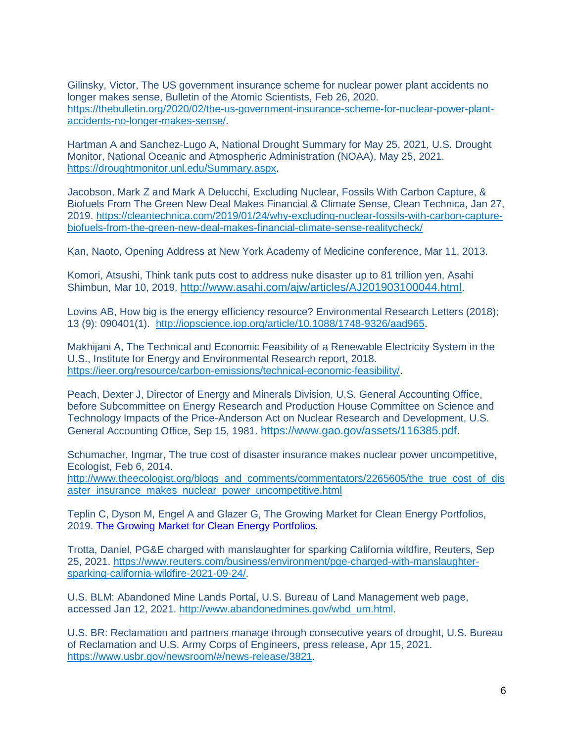Gilinsky, Victor, The US government insurance scheme for nuclear power plant accidents no longer makes sense, Bulletin of the Atomic Scientists, Feb 26, 2020. [https://thebulletin.org/2020/02/the-us-government-insurance-scheme-for-nuclear-power-plant](https://thebulletin.org/2020/02/the-us-government-insurance-scheme-for-nuclear-power-plant-accidents-no-longer-makes-sense/)[accidents-no-longer-makes-sense/.](https://thebulletin.org/2020/02/the-us-government-insurance-scheme-for-nuclear-power-plant-accidents-no-longer-makes-sense/)

Hartman A and Sanchez-Lugo A, National Drought Summary for May 25, 2021, U.S. Drought Monitor, National Oceanic and Atmospheric Administration (NOAA), May 25, 2021. [https://droughtmonitor.unl.edu/Summary.aspx.](https://droughtmonitor.unl.edu/Summary.aspx)

Jacobson, Mark Z and Mark A Delucchi, Excluding Nuclear, Fossils With Carbon Capture, & Biofuels From The Green New Deal Makes Financial & Climate Sense, Clean Technica, Jan 27, 2019. [https://cleantechnica.com/2019/01/24/why-excluding-nuclear-fossils-with-carbon-capture](https://cleantechnica.com/2019/01/24/why-excluding-nuclear-fossils-with-carbon-capture-biofuels-from-the-green-new-deal-makes-financial-climate-sense-realitycheck/)[biofuels-from-the-green-new-deal-makes-financial-climate-sense-realitycheck/](https://cleantechnica.com/2019/01/24/why-excluding-nuclear-fossils-with-carbon-capture-biofuels-from-the-green-new-deal-makes-financial-climate-sense-realitycheck/)

Kan, Naoto, Opening Address at New York Academy of Medicine conference, Mar 11, 2013.

Komori, Atsushi, Think tank puts cost to address nuke disaster up to 81 trillion yen, Asahi Shimbun, Mar 10, 2019. <http://www.asahi.com/ajw/articles/AJ201903100044.html>.

Lovins AB, How big is the energy efficiency resource? Environmental Research Letters (2018); 13 (9): 090401(1). [http://iopscience.iop.org/article/10.1088/1748-9326/aad965.](http://iopscience.iop.org/article/10.1088/1748-9326/aad965)

Makhijani A, The Technical and Economic Feasibility of a Renewable Electricity System in the U.S., Institute for Energy and Environmental Research report, 2018. [https://ieer.org/resource/carbon-emissions/technical-economic-feasibility/.](https://ieer.org/resource/carbon-emissions/technical-economic-feasibility/)

Peach, Dexter J, Director of Energy and Minerals Division, U.S. General Accounting Office, before Subcommittee on Energy Research and Production House Committee on Science and Technology Impacts of the Price-Anderson Act on Nuclear Research and Development, U.S. General Accounting Office, Sep 15, 1981. <https://www.gao.gov/assets/116385.pdf>.

Schumacher, Ingmar, The true cost of disaster insurance makes nuclear power uncompetitive, Ecologist, Feb 6, 2014.

[http://www.theecologist.org/blogs\\_and\\_comments/commentators/2265605/the\\_true\\_cost\\_of\\_dis](http://www.theecologist.org/blogs_and_comments/commentators/2265605/the_true_cost_of_disaster_insurance_makes_nuclear_power_uncompetitive.html) [aster\\_insurance\\_makes\\_nuclear\\_power\\_uncompetitive.html](http://www.theecologist.org/blogs_and_comments/commentators/2265605/the_true_cost_of_disaster_insurance_makes_nuclear_power_uncompetitive.html)

Teplin C, Dyson M, Engel A and Glazer G, The Growing Market for Clean Energy Portfolios, 2019. [The Growing Market for Clean Energy Portfolios](https://rmi.org/insight/clean-energy-portfolios-pipelines-and-plants/)*.*

Trotta, Daniel, PG&E charged with manslaughter for sparking California wildfire, Reuters, Sep 25, 2021. [https://www.reuters.com/business/environment/pge-charged-with-manslaughter](https://www.reuters.com/business/environment/pge-charged-with-manslaughter-sparking-california-wildfire-2021-09-24/)[sparking-california-wildfire-2021-09-24/.](https://www.reuters.com/business/environment/pge-charged-with-manslaughter-sparking-california-wildfire-2021-09-24/)

U.S. BLM: Abandoned Mine Lands Portal, U.S. Bureau of Land Management web page, accessed Jan 12, 2021. [http://www.abandonedmines.gov/wbd\\_um.html.](http://www.abandonedmines.gov/wbd_um.html)

U.S. BR: Reclamation and partners manage through consecutive years of drought, U.S. Bureau of Reclamation and U.S. Army Corps of Engineers, press release, Apr 15, 2021. [https://www.usbr.gov/newsroom/#/news-release/3821.](https://www.usbr.gov/newsroom/#/news-release/3821)